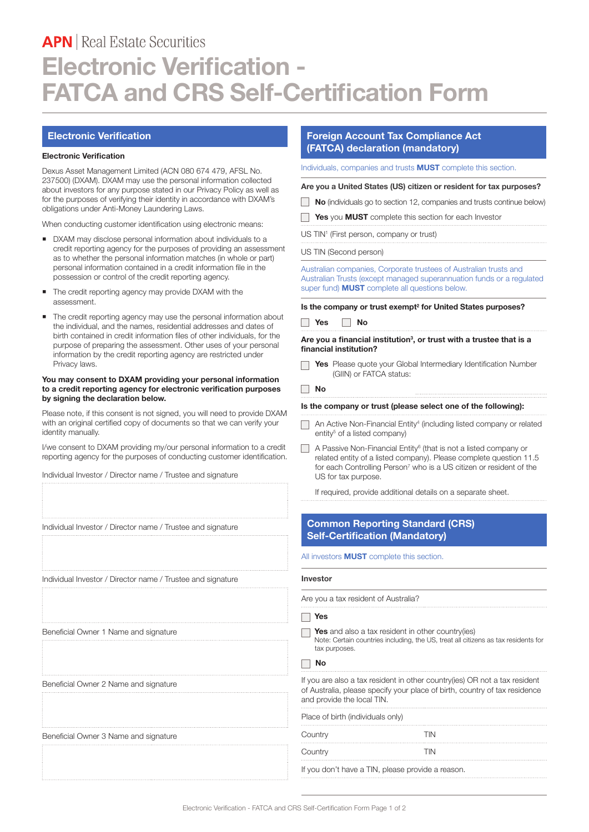# **APN** Real Estate Securities **Electronic Verification - FATCA and CRS Self-Certification Form**

### **Electronic Verification**

#### **Electronic Verification**

Dexus Asset Management Limited (ACN 080 674 479, AFSL No. 237500) (DXAM). DXAM may use the personal information collected about investors for any purpose stated in our Privacy Policy as well as for the purposes of verifying their identity in accordance with DXAM's obligations under Anti-Money Laundering Laws.

When conducting customer identification using electronic means:

- DXAM may disclose personal information about individuals to a credit reporting agency for the purposes of providing an assessment as to whether the personal information matches (in whole or part) personal information contained in a credit information file in the possession or control of the credit reporting agency.
- The credit reporting agency may provide DXAM with the assessment.
- The credit reporting agency may use the personal information about the individual, and the names, residential addresses and dates of birth contained in credit information files of other individuals, for the purpose of preparing the assessment. Other uses of your personal information by the credit reporting agency are restricted under Privacy laws.

#### **You may consent to DXAM providing your personal information to a credit reporting agency for electronic verification purposes by signing the declaration below.**

Please note, if this consent is not signed, you will need to provide DXAM with an original certified copy of documents so that we can verify your identity manually.

I/we consent to DXAM providing my/our personal information to a credit reporting agency for the purposes of conducting customer identification.

Individual Investor / Director name / Trustee and signature

Individual Investor / Director name / Trustee and signature

Individual Investor / Director name / Trustee and signature

Beneficial Owner 1 Name and signature

Beneficial Owner 2 Name and signature

Beneficial Owner 3 Name and signature

# **Foreign Account Tax Compliance Act (FATCA) declaration (mandatory)**

Individuals, companies and trusts **MUST** complete this section.

**Are you a United States (US) citizen or resident for tax purposes?**

- **No** (individuals go to section 12, companies and trusts continue below)
- **Yes** you **MUST** complete this section for each Investor

US TIN<sup>1</sup> (First person, company or trust)

US TIN (Second person)

Australian companies, Corporate trustees of Australian trusts and Australian Trusts (except managed superannuation funds or a regulated super fund) **MUST** complete all questions below.

**Is the company or trust exempt<sup>2</sup> for United States purposes?** 



#### **Are you a financial institution<sup>3</sup> , or trust with a trustee that is a financial institution?**

**Yes** Please quote your Global Intermediary Identification Number (GIIN) or FATCA status:

**No**

#### **Is the company or trust (please select one of the following):**

- An Active Non-Financial Entity<sup>4</sup> (including listed company or related entity<sup>5</sup> of a listed company)
- A Passive Non-Financial Entity<sup>6</sup> (that is not a listed company or related entity of a listed company). Please complete question 11.5 for each Controlling Person<sup>7</sup> who is a US citizen or resident of the US for tax purpose.

If required, provide additional details on a separate sheet.

## **Common Reporting Standard (CRS) Self-Certification (Mandatory)**

All investors **MUST** complete this section.

#### **Investor**

Are you a tax resident of Australia?

#### **Yes**

**Yes** and also a tax resident in other country(ies) Note: Certain countries including, the US, treat all citizens as tax residents for tax purposes.

**No**

If you are also a tax resident in other country(ies) OR not a tax resident of Australia, please specify your place of birth, country of tax residence and provide the local TIN.

| Place of birth (individuals only)                 |     |
|---------------------------------------------------|-----|
| Country                                           | TIN |
| Country                                           | TIN |
| If you don't have a TIN, please provide a reason. |     |